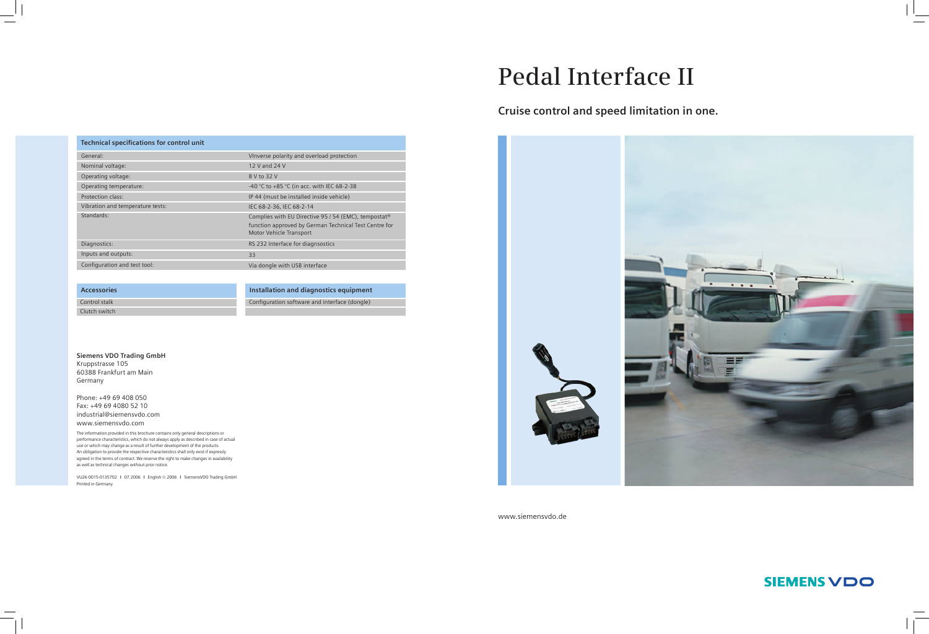**Siemens VDO Trading GmbH** Kruppstrasse 105 60388 Frankfurt am Main Germany

Phone: +49 69 408 050 Fax: +49 69 4080 52 10 industrial@siemensvdo.com www.siemensvdo.com

The information provided in this brochure contains only general descriptions or performance characteristics, which do not always apply as described in case of actual use or which may change as a result of further development of the products. An obligation to provide the respective characteristics shall only exist if expressly agreed in the terms of contract. We reserve the right to make changes in availability as well as technical changes without prior notice.

VU26-0015-0135702 **I** 07.2006 **I** English © 2006 **I** SiemensVDO Trading GmbH Printed in Germany



www.siemensvdo.de



# **Pedal Interface II**

## **Cruise control and speed limitation in one.**

### **Technical specifications for control unit**

| General:                         | Vinverse polarity and overload protection                                                                                                            |
|----------------------------------|------------------------------------------------------------------------------------------------------------------------------------------------------|
| Nominal voltage:                 | 12 V and 24 V                                                                                                                                        |
| Operating voltage:               | 8 V to 32 V                                                                                                                                          |
| Operating temperature:           | -40 °C to +85 °C (in acc. with IEC 68-2-38                                                                                                           |
| Protection class:                | IP 44 (must be installed inside vehicle)                                                                                                             |
| Vibration and temperature tests: | IEC 68-2-36, IEC 68-2-14                                                                                                                             |
|                                  |                                                                                                                                                      |
| Standards:                       | Complies with EU Directive 95 / 54 (EMC), tempostat <sup>®</sup><br>function approved by German Technical Test Centre for<br>Motor Vehicle Transport |
| Diagnostics:                     | RS 232 Interface for diagnsostics                                                                                                                    |
| Inputs and outputs:              | 33                                                                                                                                                   |
| Configuration and test tool:     | Via dongle with USB interface                                                                                                                        |

| <b>Accessories</b> | Installation and diagnostics equipment        |
|--------------------|-----------------------------------------------|
| Control stalk      | Configuration software and interface (dongle) |
| Clutch switch      |                                               |